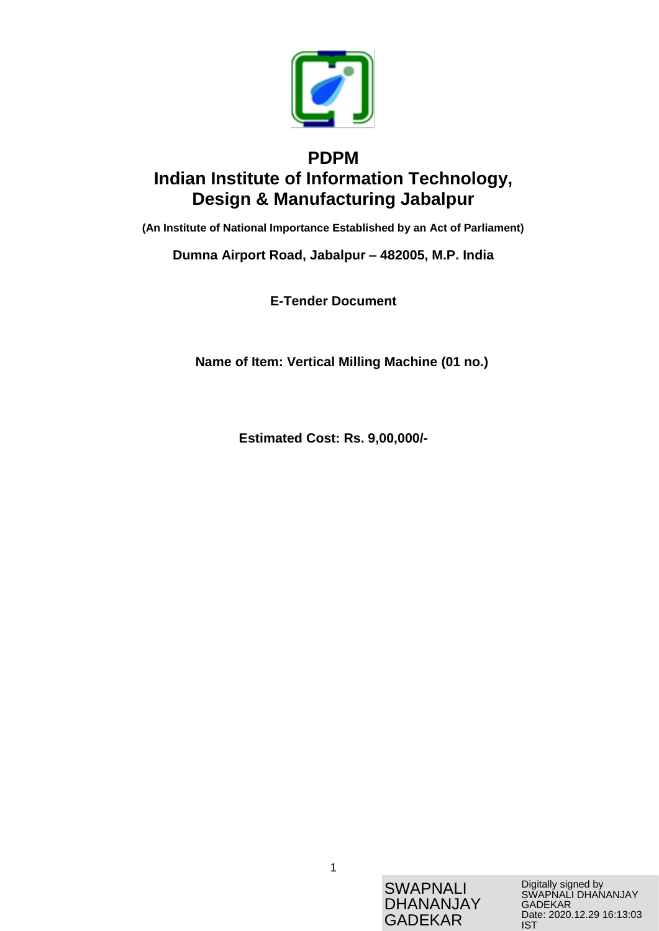

# **PDPM Indian Institute of Information Technology, Design & Manufacturing Jabalpur**

**(An Institute of National Importance Established by an Act of Parliament)**

**Dumna Airport Road, Jabalpur – 482005, M.P. India**

**E-Tender Document**

**Name of Item: Vertical Milling Machine (01 no.)**

**Estimated Cost: Rs. 9,00,000/-**

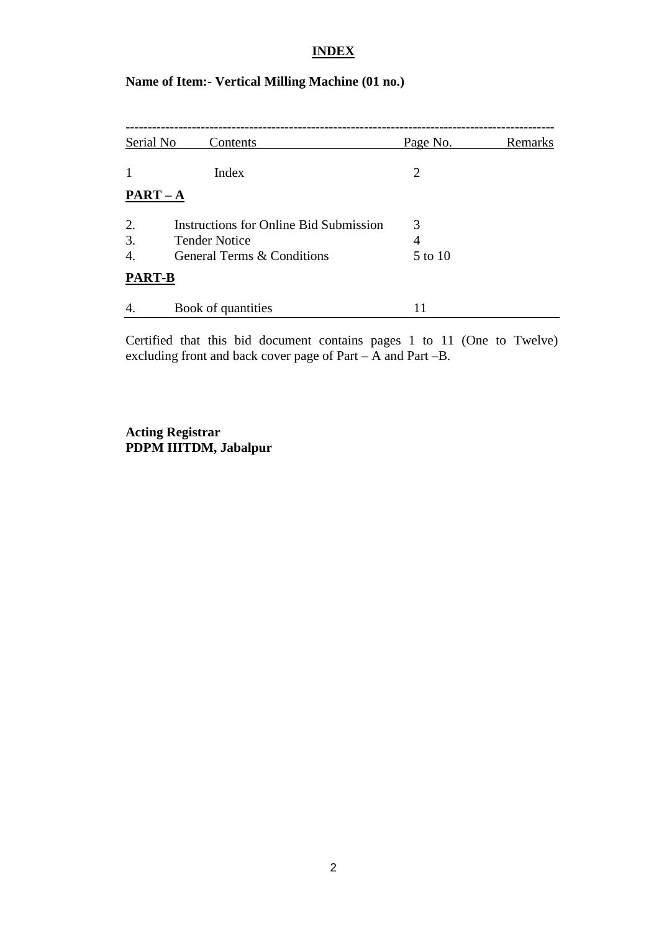## **INDEX**

# **Name of Item:- Vertical Milling Machine (01 no.)**

| Serial No     | Contents                                                              | Page No. | Remarks |
|---------------|-----------------------------------------------------------------------|----------|---------|
| 1             | Index                                                                 | 2        |         |
| $PART-A$      |                                                                       |          |         |
| 2.<br>3.      | <b>Instructions for Online Bid Submission</b><br><b>Tender Notice</b> | 3<br>4   |         |
| 4.            | General Terms & Conditions                                            | 5 to 10  |         |
| <b>PART-B</b> |                                                                       |          |         |
| 4.            | Book of quantities                                                    |          |         |

Certified that this bid document contains pages 1 to 11 (One to Twelve) excluding front and back cover page of Part – A and Part –B.

**Acting Registrar PDPM IIITDM, Jabalpur**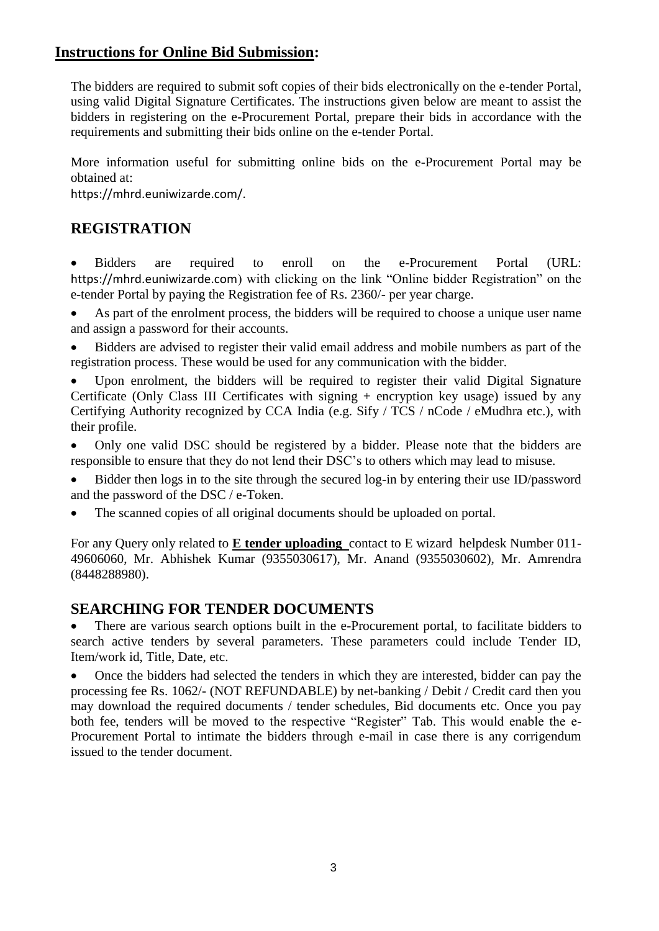# **Instructions for Online Bid Submission:**

The bidders are required to submit soft copies of their bids electronically on the e-tender Portal, using valid Digital Signature Certificates. The instructions given below are meant to assist the bidders in registering on the e-Procurement Portal, prepare their bids in accordance with the requirements and submitting their bids online on the e-tender Portal.

More information useful for submitting online bids on the e-Procurement Portal may be obtained at:

https://mhrd.euniwizarde.com/.

# **REGISTRATION**

 Bidders are required to enroll on the e-Procurement Portal (URL: https://mhrd.euniwizarde.com) with clicking on the link "Online bidder Registration" on the e-tender Portal by paying the Registration fee of Rs. 2360/- per year charge.

 As part of the enrolment process, the bidders will be required to choose a unique user name and assign a password for their accounts.

 Bidders are advised to register their valid email address and mobile numbers as part of the registration process. These would be used for any communication with the bidder.

 Upon enrolment, the bidders will be required to register their valid Digital Signature Certificate (Only Class III Certificates with signing + encryption key usage) issued by any Certifying Authority recognized by CCA India (e.g. Sify / TCS / nCode / eMudhra etc.), with their profile.

 Only one valid DSC should be registered by a bidder. Please note that the bidders are responsible to ensure that they do not lend their DSC's to others which may lead to misuse.

• Bidder then logs in to the site through the secured log-in by entering their use ID/password and the password of the DSC / e-Token.

The scanned copies of all original documents should be uploaded on portal.

For any Query only related to **E tender uploading** contact to E wizard helpdesk Number 011- 49606060, Mr. Abhishek Kumar (9355030617), Mr. Anand (9355030602), Mr. Amrendra (8448288980).

# **SEARCHING FOR TENDER DOCUMENTS**

• There are various search options built in the e-Procurement portal, to facilitate bidders to search active tenders by several parameters. These parameters could include Tender ID, Item/work id, Title, Date, etc.

 Once the bidders had selected the tenders in which they are interested, bidder can pay the processing fee Rs. 1062/- (NOT REFUNDABLE) by net-banking / Debit / Credit card then you may download the required documents / tender schedules, Bid documents etc. Once you pay both fee, tenders will be moved to the respective "Register" Tab. This would enable the e-Procurement Portal to intimate the bidders through e-mail in case there is any corrigendum issued to the tender document.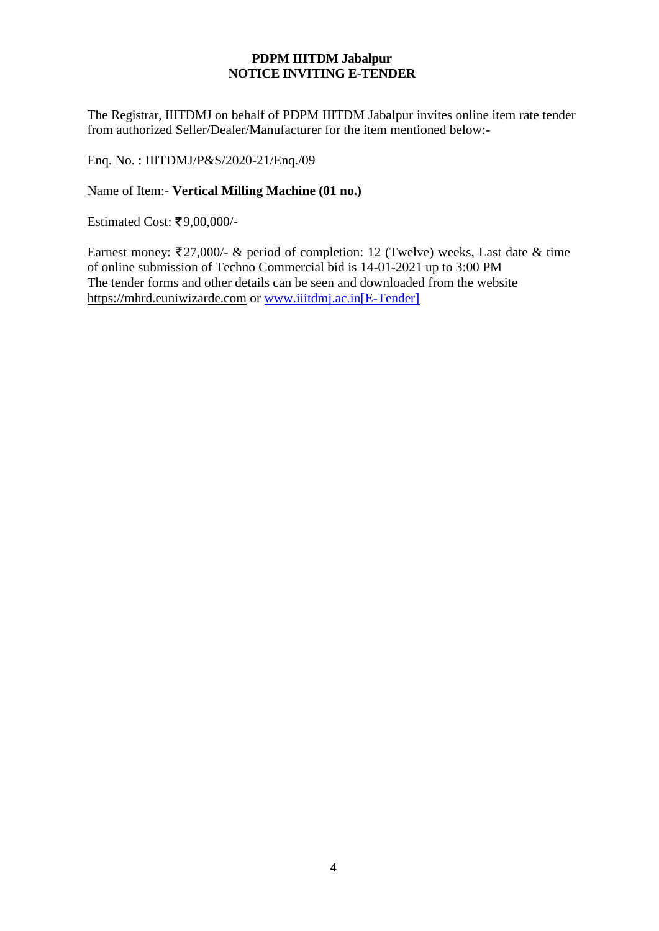## **PDPM IIITDM Jabalpur NOTICE INVITING E-TENDER**

The Registrar, IIITDMJ on behalf of PDPM IIITDM Jabalpur invites online item rate tender from authorized Seller/Dealer/Manufacturer for the item mentioned below:-

Enq. No. : IIITDMJ/P&S/2020-21/Enq./09

Name of Item:- **Vertical Milling Machine (01 no.)**

Estimated Cost: ₹9,00,000/-

Earnest money:  $\overline{\xi}$ 27,000/- & period of completion: 12 (Twelve) weeks, Last date & time of online submission of Techno Commercial bid is 14-01-2021 up to 3:00 PM The tender forms and other details can be seen and downloaded from the website [https://mhrd.euniwizarde.com](https://mhrd.euniwizarde.com/) or www.iiitdmj.ac.in[E-Tender]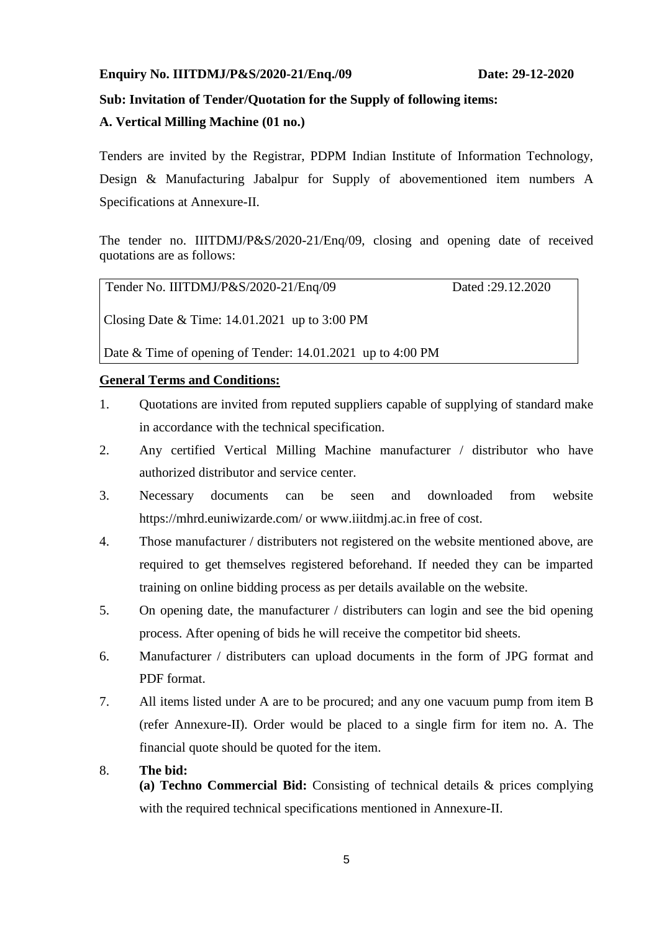#### **Enquiry No. IIITDMJ/P&S/2020-21/Enq./09 Date: 29-12-2020**

#### **Sub: Invitation of Tender/Quotation for the Supply of following items:**

#### **A. Vertical Milling Machine (01 no.)**

Tenders are invited by the Registrar, PDPM Indian Institute of Information Technology, Design & Manufacturing Jabalpur for Supply of abovementioned item numbers A Specifications at Annexure-II.

The tender no. IIITDMJ/P&S/2020-21/Enq/09, closing and opening date of received quotations are as follows:

| Tender No. IIITDMJ/P&S/2020-21/Enq/09           | Dated :29.12.2020 |
|-------------------------------------------------|-------------------|
| Closing Date & Time: $14.01.2021$ up to 3:00 PM |                   |

Date & Time of opening of Tender: 14.01.2021 up to 4:00 PM

#### **General Terms and Conditions:**

- 1. Quotations are invited from reputed suppliers capable of supplying of standard make in accordance with the technical specification.
- 2. Any certified Vertical Milling Machine manufacturer / distributor who have authorized distributor and service center.
- 3. Necessary documents can be seen and downloaded from website https://mhrd.euniwizarde.com/ or www.iiitdmj.ac.in free of cost.
- 4. Those manufacturer / distributers not registered on the website mentioned above, are required to get themselves registered beforehand. If needed they can be imparted training on online bidding process as per details available on the website.
- 5. On opening date, the manufacturer / distributers can login and see the bid opening process. After opening of bids he will receive the competitor bid sheets.
- 6. Manufacturer / distributers can upload documents in the form of JPG format and PDF format.
- 7. All items listed under A are to be procured; and any one vacuum pump from item B (refer Annexure-II). Order would be placed to a single firm for item no. A. The financial quote should be quoted for the item.

#### 8. **The bid:**

**(a) Techno Commercial Bid:** Consisting of technical details & prices complying with the required technical specifications mentioned in Annexure-II.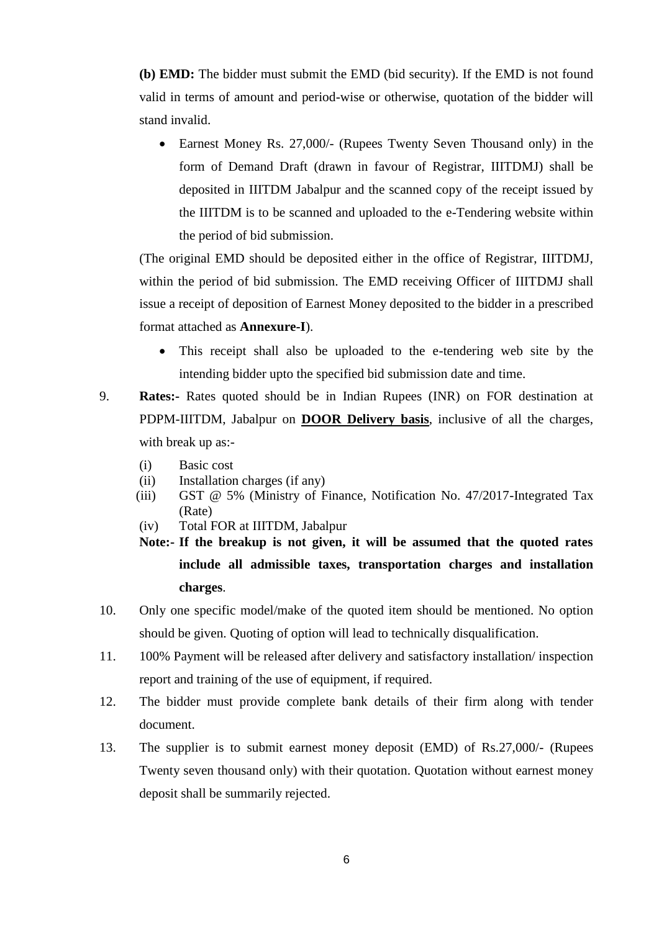**(b) EMD:** The bidder must submit the EMD (bid security). If the EMD is not found valid in terms of amount and period-wise or otherwise, quotation of the bidder will stand invalid.

• Earnest Money Rs. 27,000/- (Rupees Twenty Seven Thousand only) in the form of Demand Draft (drawn in favour of Registrar, IIITDMJ) shall be deposited in IIITDM Jabalpur and the scanned copy of the receipt issued by the IIITDM is to be scanned and uploaded to the e-Tendering website within the period of bid submission.

(The original EMD should be deposited either in the office of Registrar, IIITDMJ, within the period of bid submission. The EMD receiving Officer of IIITDMJ shall issue a receipt of deposition of Earnest Money deposited to the bidder in a prescribed format attached as **Annexure-I**).

- This receipt shall also be uploaded to the e-tendering web site by the intending bidder upto the specified bid submission date and time.
- 9. **Rates:-** Rates quoted should be in Indian Rupees (INR) on FOR destination at PDPM-IIITDM, Jabalpur on **DOOR Delivery basis**, inclusive of all the charges, with break up as:-
	- (i) Basic cost
	- (ii) Installation charges (if any)
	- (iii) GST @ 5% (Ministry of Finance, Notification No. 47/2017-Integrated Tax (Rate)
	- (iv) Total FOR at IIITDM, Jabalpur
	- **Note:- If the breakup is not given, it will be assumed that the quoted rates include all admissible taxes, transportation charges and installation charges**.
- 10. Only one specific model/make of the quoted item should be mentioned. No option should be given. Quoting of option will lead to technically disqualification.
- 11. 100% Payment will be released after delivery and satisfactory installation/ inspection report and training of the use of equipment, if required.
- 12. The bidder must provide complete bank details of their firm along with tender document.
- 13. The supplier is to submit earnest money deposit (EMD) of Rs.27,000/- (Rupees Twenty seven thousand only) with their quotation. Quotation without earnest money deposit shall be summarily rejected.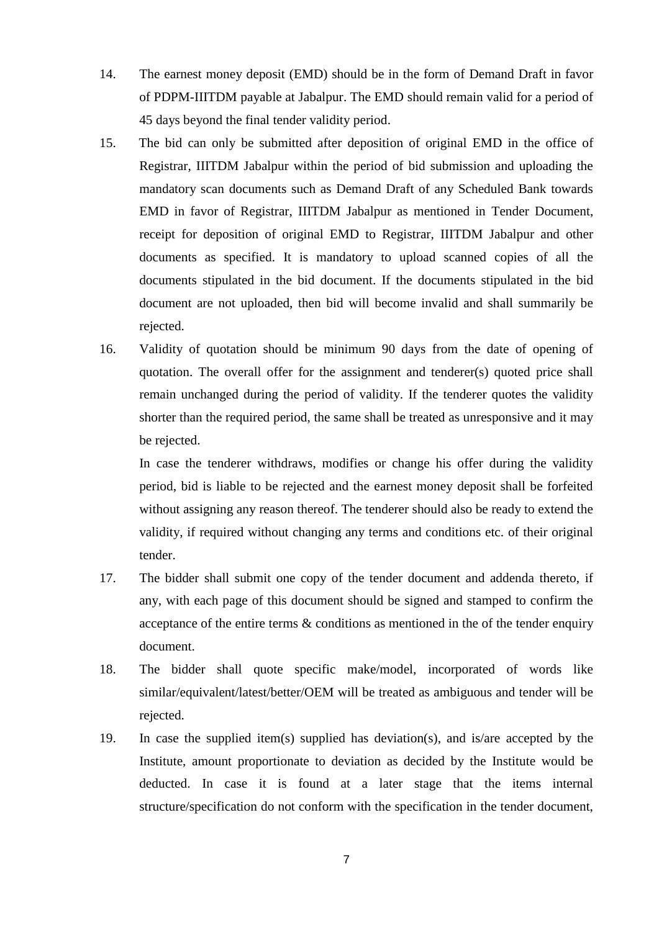- 14. The earnest money deposit (EMD) should be in the form of Demand Draft in favor of PDPM-IIITDM payable at Jabalpur. The EMD should remain valid for a period of 45 days beyond the final tender validity period.
- 15. The bid can only be submitted after deposition of original EMD in the office of Registrar, IIITDM Jabalpur within the period of bid submission and uploading the mandatory scan documents such as Demand Draft of any Scheduled Bank towards EMD in favor of Registrar, IIITDM Jabalpur as mentioned in Tender Document, receipt for deposition of original EMD to Registrar, IIITDM Jabalpur and other documents as specified. It is mandatory to upload scanned copies of all the documents stipulated in the bid document. If the documents stipulated in the bid document are not uploaded, then bid will become invalid and shall summarily be rejected.
- 16. Validity of quotation should be minimum 90 days from the date of opening of quotation. The overall offer for the assignment and tenderer(s) quoted price shall remain unchanged during the period of validity. If the tenderer quotes the validity shorter than the required period, the same shall be treated as unresponsive and it may be rejected.

In case the tenderer withdraws, modifies or change his offer during the validity period, bid is liable to be rejected and the earnest money deposit shall be forfeited without assigning any reason thereof. The tenderer should also be ready to extend the validity, if required without changing any terms and conditions etc. of their original tender.

- 17. The bidder shall submit one copy of the tender document and addenda thereto, if any, with each page of this document should be signed and stamped to confirm the acceptance of the entire terms & conditions as mentioned in the of the tender enquiry document.
- 18. The bidder shall quote specific make/model, incorporated of words like similar/equivalent/latest/better/OEM will be treated as ambiguous and tender will be rejected.
- 19. In case the supplied item(s) supplied has deviation(s), and is/are accepted by the Institute, amount proportionate to deviation as decided by the Institute would be deducted. In case it is found at a later stage that the items internal structure/specification do not conform with the specification in the tender document,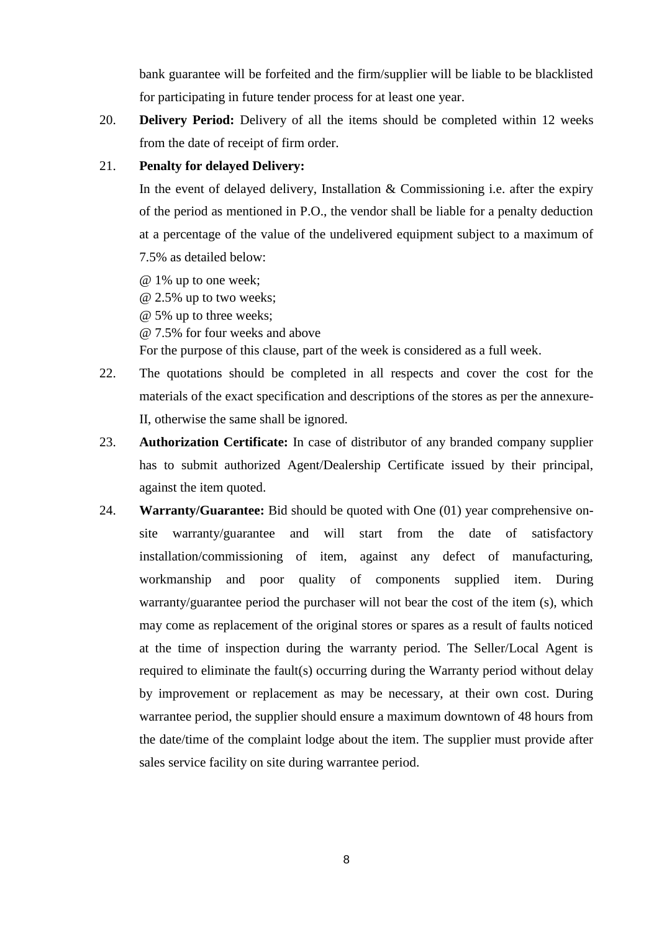bank guarantee will be forfeited and the firm/supplier will be liable to be blacklisted for participating in future tender process for at least one year.

20. **Delivery Period:** Delivery of all the items should be completed within 12 weeks from the date of receipt of firm order.

## 21. **Penalty for delayed Delivery:**

In the event of delayed delivery, Installation  $&$  Commissioning i.e. after the expiry of the period as mentioned in P.O., the vendor shall be liable for a penalty deduction at a percentage of the value of the undelivered equipment subject to a maximum of 7.5% as detailed below:

- @ 1% up to one week;
- @ 2.5% up to two weeks;
- @ 5% up to three weeks;
- @ 7.5% for four weeks and above

For the purpose of this clause, part of the week is considered as a full week.

- 22. The quotations should be completed in all respects and cover the cost for the materials of the exact specification and descriptions of the stores as per the annexure-II, otherwise the same shall be ignored.
- 23. **Authorization Certificate:** In case of distributor of any branded company supplier has to submit authorized Agent/Dealership Certificate issued by their principal, against the item quoted.
- 24. **Warranty/Guarantee:** Bid should be quoted with One (01) year comprehensive onsite warranty/guarantee and will start from the date of satisfactory installation/commissioning of item, against any defect of manufacturing, workmanship and poor quality of components supplied item. During warranty/guarantee period the purchaser will not bear the cost of the item (s), which may come as replacement of the original stores or spares as a result of faults noticed at the time of inspection during the warranty period. The Seller/Local Agent is required to eliminate the fault(s) occurring during the Warranty period without delay by improvement or replacement as may be necessary, at their own cost. During warrantee period, the supplier should ensure a maximum downtown of 48 hours from the date/time of the complaint lodge about the item. The supplier must provide after sales service facility on site during warrantee period.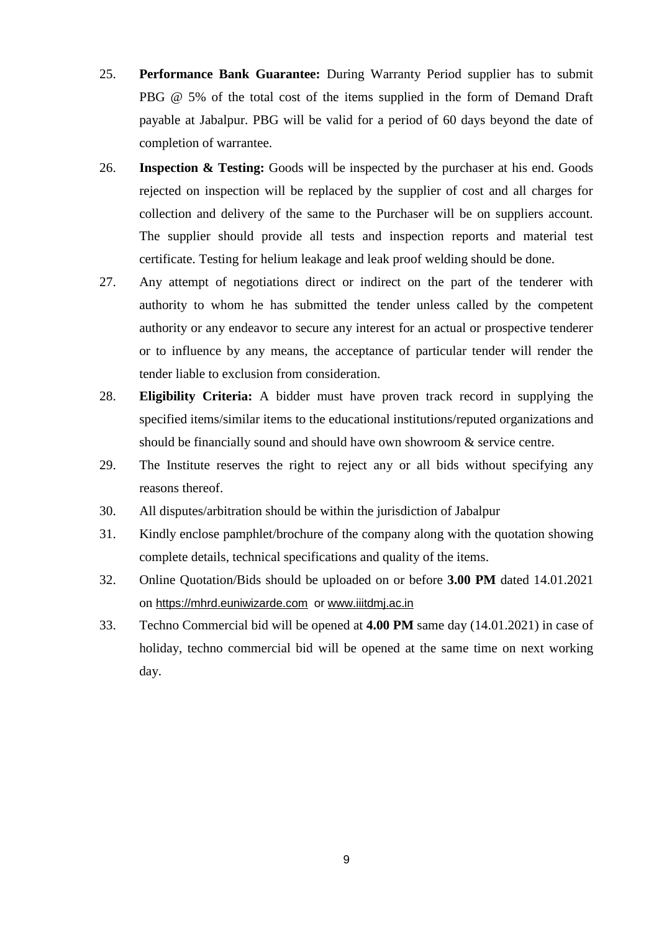- 25. **Performance Bank Guarantee:** During Warranty Period supplier has to submit PBG @ 5% of the total cost of the items supplied in the form of Demand Draft payable at Jabalpur. PBG will be valid for a period of 60 days beyond the date of completion of warrantee.
- 26. **Inspection & Testing:** Goods will be inspected by the purchaser at his end. Goods rejected on inspection will be replaced by the supplier of cost and all charges for collection and delivery of the same to the Purchaser will be on suppliers account. The supplier should provide all tests and inspection reports and material test certificate. Testing for helium leakage and leak proof welding should be done.
- 27. Any attempt of negotiations direct or indirect on the part of the tenderer with authority to whom he has submitted the tender unless called by the competent authority or any endeavor to secure any interest for an actual or prospective tenderer or to influence by any means, the acceptance of particular tender will render the tender liable to exclusion from consideration.
- 28. **Eligibility Criteria:** A bidder must have proven track record in supplying the specified items/similar items to the educational institutions/reputed organizations and should be financially sound and should have own showroom & service centre.
- 29. The Institute reserves the right to reject any or all bids without specifying any reasons thereof.
- 30. All disputes/arbitration should be within the jurisdiction of Jabalpur
- 31. Kindly enclose pamphlet/brochure of the company along with the quotation showing complete details, technical specifications and quality of the items.
- 32. Online Quotation/Bids should be uploaded on or before **3.00 PM** dated 14.01.2021 on [https://mhrd.euniwizarde.com](https://mhrd.euniwizarde.com/) or www.iiitdmj.ac.in
- 33. Techno Commercial bid will be opened at **4.00 PM** same day (14.01.2021) in case of holiday, techno commercial bid will be opened at the same time on next working day.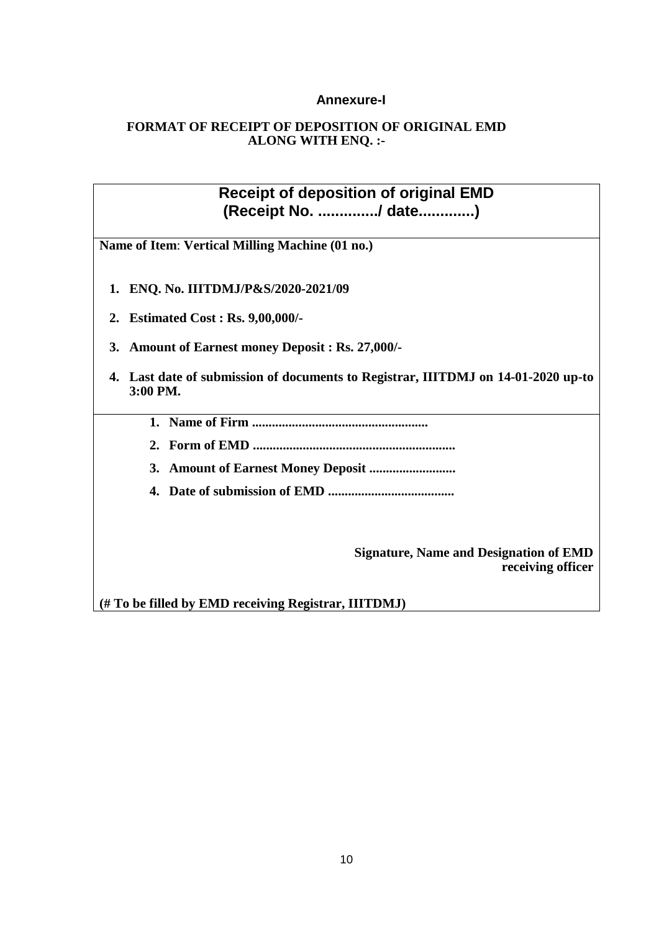## **Annexure-I**

## **FORMAT OF RECEIPT OF DEPOSITION OF ORIGINAL EMD ALONG WITH ENQ. :-**

**Receipt of deposition of original EMD (Receipt No. ............../ date.............)**

**Name of Item**: **Vertical Milling Machine (01 no.)**

- **1. ENQ. No. IIITDMJ/P&S/2020-2021/09**
- **2. Estimated Cost : Rs. 9,00,000/-**
- **3. Amount of Earnest money Deposit : Rs. 27,000/-**
- **4. Last date of submission of documents to Registrar, IIITDMJ on 14-01-2020 up-to 3:00 PM.**
	- **1. Name of Firm .....................................................**
	- **2. Form of EMD .............................................................**
	- **3. Amount of Earnest Money Deposit ..........................**
	- **4. Date of submission of EMD ......................................**

**Signature, Name and Designation of EMD receiving officer** 

**(# To be filled by EMD receiving Registrar, IIITDMJ)**